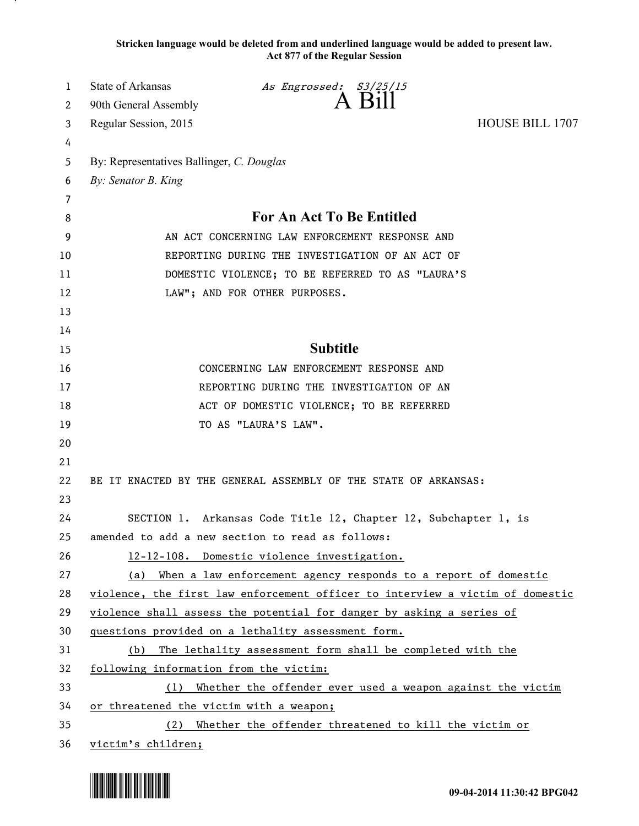**Stricken language would be deleted from and underlined language would be added to present law. Act 877 of the Regular Session**

| 1  | <b>State of Arkansas</b>                                                      | As Engrossed: S3/25/15                                          |                        |  |
|----|-------------------------------------------------------------------------------|-----------------------------------------------------------------|------------------------|--|
| 2  | 90th General Assembly                                                         | A Bill                                                          |                        |  |
| 3  | Regular Session, 2015                                                         |                                                                 | <b>HOUSE BILL 1707</b> |  |
| 4  |                                                                               |                                                                 |                        |  |
| 5  | By: Representatives Ballinger, C. Douglas                                     |                                                                 |                        |  |
| 6  | By: Senator B. King                                                           |                                                                 |                        |  |
| 7  |                                                                               |                                                                 |                        |  |
| 8  | For An Act To Be Entitled                                                     |                                                                 |                        |  |
| 9  | AN ACT CONCERNING LAW ENFORCEMENT RESPONSE AND                                |                                                                 |                        |  |
| 10 | REPORTING DURING THE INVESTIGATION OF AN ACT OF                               |                                                                 |                        |  |
| 11 | DOMESTIC VIOLENCE; TO BE REFERRED TO AS "LAURA'S                              |                                                                 |                        |  |
| 12 | LAW"; AND FOR OTHER PURPOSES.                                                 |                                                                 |                        |  |
| 13 |                                                                               |                                                                 |                        |  |
| 14 |                                                                               |                                                                 |                        |  |
| 15 |                                                                               | <b>Subtitle</b>                                                 |                        |  |
| 16 | CONCERNING LAW ENFORCEMENT RESPONSE AND                                       |                                                                 |                        |  |
| 17 | REPORTING DURING THE INVESTIGATION OF AN                                      |                                                                 |                        |  |
| 18 | ACT OF DOMESTIC VIOLENCE; TO BE REFERRED                                      |                                                                 |                        |  |
| 19 | TO AS "LAURA'S LAW".                                                          |                                                                 |                        |  |
| 20 |                                                                               |                                                                 |                        |  |
| 21 |                                                                               |                                                                 |                        |  |
| 22 | BE IT ENACTED BY THE GENERAL ASSEMBLY OF THE STATE OF ARKANSAS:               |                                                                 |                        |  |
| 23 |                                                                               |                                                                 |                        |  |
| 24 |                                                                               | SECTION 1. Arkansas Code Title 12, Chapter 12, Subchapter 1, is |                        |  |
| 25 |                                                                               | amended to add a new section to read as follows:                |                        |  |
| 26 |                                                                               | 12-12-108. Domestic violence investigation.                     |                        |  |
| 27 | (a) When a law enforcement agency responds to a report of domestic            |                                                                 |                        |  |
| 28 | violence, the first law enforcement officer to interview a victim of domestic |                                                                 |                        |  |
| 29 | violence shall assess the potential for danger by asking a series of          |                                                                 |                        |  |
| 30 | questions provided on a lethality assessment form.                            |                                                                 |                        |  |
| 31 | The lethality assessment form shall be completed with the<br>(b)              |                                                                 |                        |  |
| 32 | following information from the victim:                                        |                                                                 |                        |  |
| 33 | Whether the offender ever used a weapon against the victim<br>(1)             |                                                                 |                        |  |
| 34 | or threatened the victim with a weapon;                                       |                                                                 |                        |  |
| 35 | Whether the offender threatened to kill the victim or<br>(2)                  |                                                                 |                        |  |
| 36 | victim's children;                                                            |                                                                 |                        |  |